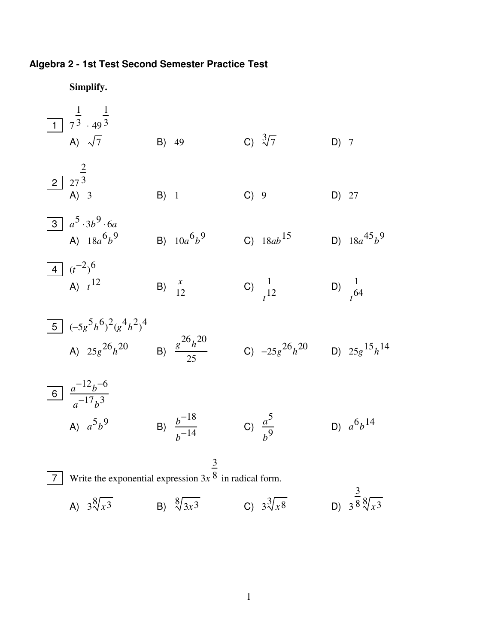## **Algebra 2 - 1st Test Second Semester Practice Test**

**Simplify.** 1 |  $7$ 1  $3.49$ 1 3  $\overline{A}$   $\sqrt{7}$  B) 49 C)  $\sqrt[3]{7}$  D) 7 2  $\mid$  27 2 3 B) 1 C) 9 D) 27  $\overline{3}$   $a^5 \cdot 3b^9 \cdot 6a$ A)  $18a^6b^9$  B)  $10a^6b^9$  C)  $18ab^{15}$  D)  $18a^{45}b^9$  $4 \cdot t^{-2}$ <sup>6</sup> A)  $t^{12}$ B)  $\frac{x}{12}$  C)  $\frac{1}{t^{12}}$  D)  $\frac{1}{t^{64}}$ 5  $(-5g^5h^6)^2(g^4h^2)^4$ A)  $25g^{26}h^{20}$  B)  $\frac{g^{26}h^{20}}{25}$ 25 C)  $-25g^{26}h^{20}$  D)  $25g^{15}h^{14}$  $\overline{6}$ <sup>2</sup> $a^{-12}b^{-6}$  $a^{-17}b^3$ A)  $a^5b^9$  B)  $b^2$ −18  $\frac{b^{-18}}{b^{-14}}$  C)  $\frac{a^5}{b^9}$ *b* 9 D)  $a^6b^{14}$ 7 Write the exponential expression 3*x* 3 8 in radical form. A)  $3\sqrt[3]{x^3}$  B)  $\sqrt[3]{3x^3}$  C)  $3\sqrt[3]{x^8}$  D) 3 3  $8\sqrt[3]{x^3}$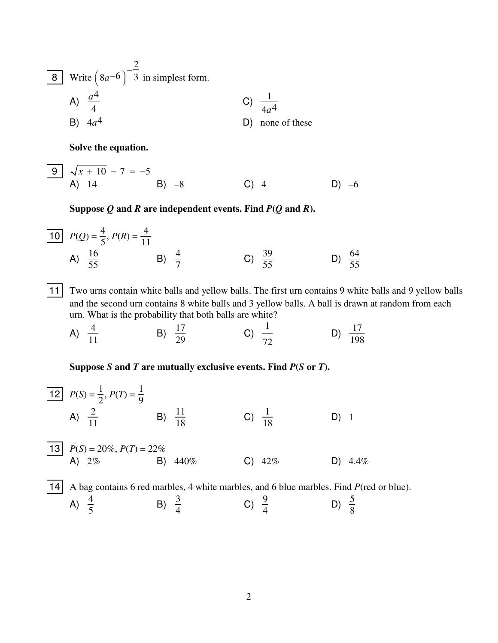| 8  | Write $(8a^{-6})^{-\frac{2}{3}}$ in simplest form. |    |                  |
|----|----------------------------------------------------|----|------------------|
| A) | $\frac{a^4}{4}$                                    | C) | $\frac{1}{4a^4}$ |
| B) | $4a^4$                                             | D) | none of these    |

Solve the equation.

Suppose  $Q$  and  $R$  are independent events. Find  $P(Q \text{ and } R)$ .

$$
\begin{array}{|c|c|c|c|c|}\n\hline\n10 & P(Q) = \frac{4}{5}, P(R) = \frac{4}{11} \\
\text{A)} & \frac{16}{55} & \text{B)} & \frac{4}{7} & \text{C)} & \frac{39}{55} & \text{D)} & \frac{64}{55}\n\end{array}
$$

[11] Two urns contain white balls and yellow balls. The first urn contains 9 white balls and 9 yellow balls and the second urn contains 8 white balls and 3 yellow balls. A ball is drawn at random from each urn. What is the probability that both balls are white?

C)  $\frac{1}{72}$ D)  $\frac{17}{198}$ A)  $\frac{4}{11}$ B)  $\frac{17}{29}$ 

## Suppose  $S$  and  $T$  are mutually exclusive events. Find  $P(S \text{ or } T)$ .

12 
$$
P(S) = \frac{1}{2}
$$
,  $P(T) = \frac{1}{9}$   
\nA)  $\frac{2}{11}$  \nB)  $\frac{11}{18}$  \nC)  $\frac{1}{18}$  \nD) 1  
\n13  $P(S) = 20\%$ ,  $P(T) = 22\%$   
\nA) 2% \nB) 440% \nC) 42% \nD) 4.4%  
\n14 A bag contains 6 red marbles, 4 white marbles, and 6 blue marbles. Find  $P(\text{red or blue})$ .  
\nA)  $\frac{4}{5}$  \nB)  $\frac{3}{4}$  \nC)  $\frac{9}{4}$  \nD)  $\frac{5}{8}$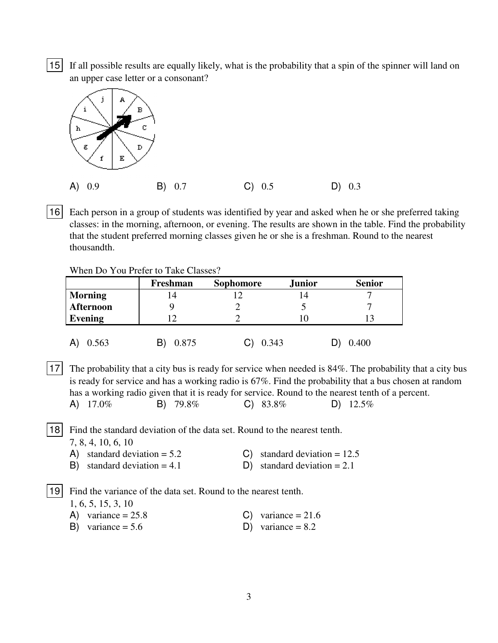15 If all possible results are equally likely, what is the probability that a spin of the spinner will land on an upper case letter or a consonant?



16 Each person in a group of students was identified by year and asked when he or she preferred taking classes: in the morning, afternoon, or evening. The results are shown in the table. Find the probability that the student preferred morning classes given he or she is a freshman. Round to the nearest thousandth.

When Do You Prefer to Take Classes?

|                  | Freshman | <b>Sophomore</b> | <b>Junior</b> | <b>Senior</b> |  |
|------------------|----------|------------------|---------------|---------------|--|
| <b>Morning</b>   | ۱4       |                  | 14            |               |  |
| <b>Afternoon</b> |          |                  |               |               |  |
| Evening          |          |                  |               | 13            |  |
| 0.563            | 0.875    | 0.343            |               | 0.400         |  |

17 The probability that a city bus is ready for service when needed is 84%. The probability that a city bus is ready for service and has a working radio is 67%. Find the probability that a bus chosen at random has a working radio given that it is ready for service. Round to the nearest tenth of a percent. A)  $17.0\%$  B)  $79.8\%$  C)  $83.8\%$  D)  $12.5\%$ 

18 Find the standard deviation of the data set. Round to the nearest tenth. 7, 8, 4, 10, 6, 10

- A) standard deviation =  $5.2$  C) standard deviation =  $12.5$
- B) standard deviation  $= 4.1$  D) standard deviation  $= 2.1$

19 Find the variance of the data set. Round to the nearest tenth.

1, 6, 5, 15, 3, 10

- A) variance  $= 25.8$  C) variance  $= 21.6$
- B) variance =  $5.6$  D) variance =  $8.2$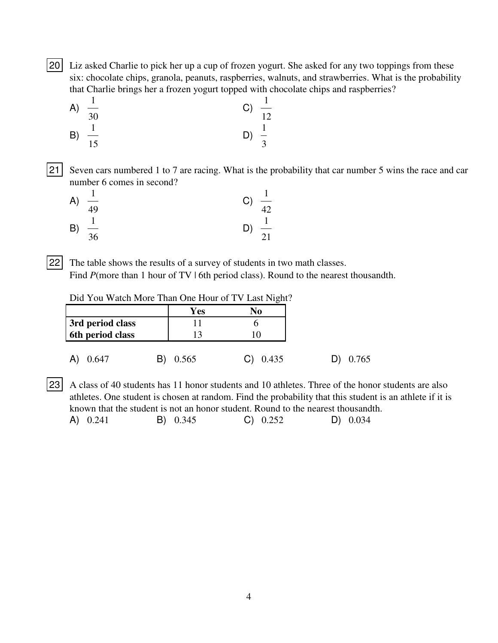20 Liz asked Charlie to pick her up a cup of frozen yogurt. She asked for any two toppings from these six: chocolate chips, granola, peanuts, raspberries, walnuts, and strawberries. What is the probability that Charlie brings her a frozen yogurt topped with chocolate chips and raspberries?

A) 
$$
\frac{1}{30}
$$
  
\nB)  $\frac{1}{15}$   
\nC)  $\frac{1}{12}$   
\nD)  $\frac{1}{3}$ 

21 Seven cars numbered 1 to 7 are racing. What is the probability that car number 5 wins the race and car number 6 comes in second?

| A) | 49             | $\frac{1}{42}$<br>C) |
|----|----------------|----------------------|
| B) | $\frac{1}{36}$ | $\frac{1}{21}$       |

22 The table shows the results of a survey of students in two math classes. Find *P*(more than 1 hour of TV | 6th period class). Round to the nearest thousandth.

|                  | Yes   | No    |
|------------------|-------|-------|
| 3rd period class |       |       |
| 6th period class | 13    |       |
| 0.647            | 0.565 | 0.435 |

23 A class of 40 students has 11 honor students and 10 athletes. Three of the honor students are also athletes. One student is chosen at random. Find the probability that this student is an athlete if it is known that the student is not an honor student. Round to the nearest thousandth.

| A) 0.241<br>B) 0.345<br>C) 0.252 | $D)$ 0.034 |
|----------------------------------|------------|
|----------------------------------|------------|